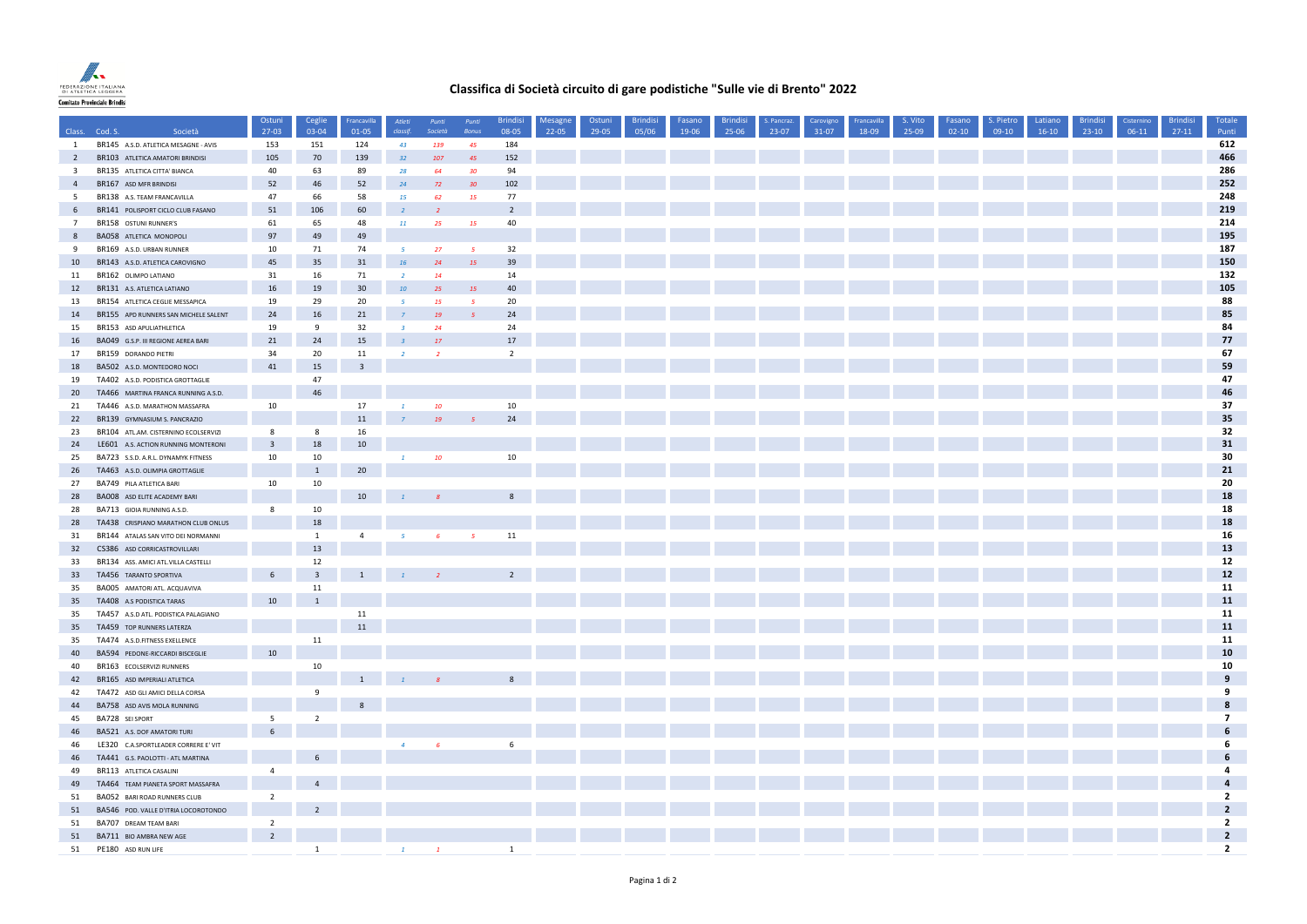

## **Classifica di Società circuito di gare podistiche "Sulle vie di Brento" 2022**

|                         |                                                                           | Ostuni                  | Ceglie                  | Francavilla             | Atleti         | Punti          | Punti                    | <b>Brindisi</b> | Mesagne | Ostuni | <b>Brindisi</b> | Fasano | <b>Brindisi</b> | S. Pancraz. | Carovigno | <b>Francavilla</b> | S. Vito | Fasano    | S. Pietro | Latiano | <b>Brindis</b> | Cisternino | <b>Brindis</b> | Totale                                    |
|-------------------------|---------------------------------------------------------------------------|-------------------------|-------------------------|-------------------------|----------------|----------------|--------------------------|-----------------|---------|--------|-----------------|--------|-----------------|-------------|-----------|--------------------|---------|-----------|-----------|---------|----------------|------------|----------------|-------------------------------------------|
|                         | Class. Cod. S.<br>Società                                                 | $27-03$                 | 03-04                   | $01 - 05$               | classif.       | Società        | Bonus                    | 08-05           | 22-05   | 29-05  | 05/06           | 19-06  | 25-06           | 23-07       | 31-07     | 18-09              | 25-09   | $02 - 10$ | $09-10$   | $16-10$ | $23-10$        | $06-11$    | $27-11$        | Punti                                     |
| $\mathbf{1}$            | BR145 A.S.D. ATLETICA MESAGNE - AVIS                                      | 153                     | 151                     | 124                     | 43             | 139            | 45                       | 184             |         |        |                 |        |                 |             |           |                    |         |           |           |         |                |            |                | 612                                       |
| $\overline{2}$          | BR103 ATLETICA AMATORI BRINDISI                                           | 105                     | 70                      | 139                     | 32             | 107            | 45                       | 152             |         |        |                 |        |                 |             |           |                    |         |           |           |         |                |            |                | 466                                       |
| $\overline{\mathbf{3}}$ | BR135 ATLETICA CITTA' BIANCA                                              | 40                      | 63                      | 89                      | 28             | 64             | 30 <sub>2</sub>          | 94              |         |        |                 |        |                 |             |           |                    |         |           |           |         |                |            |                | 286                                       |
| $\overline{4}$          | BR167 ASD MFR BRINDISI                                                    | 52                      | 46                      | 52                      | 24             | 72             | 30 <sup>°</sup>          | 102             |         |        |                 |        |                 |             |           |                    |         |           |           |         |                |            |                | 252                                       |
| 5                       | BR138 A.S. TEAM FRANCAVILLA                                               | 47                      | 66                      | 58                      | 15             | 62             | 15                       | 77              |         |        |                 |        |                 |             |           |                    |         |           |           |         |                |            |                | 248                                       |
| 6                       | BR141 POLISPORT CICLO CLUB FASANO                                         | 51                      | 106                     | 60                      |                |                |                          | $\overline{2}$  |         |        |                 |        |                 |             |           |                    |         |           |           |         |                |            |                | 219                                       |
| $7\overline{ }$         | BR158 OSTUNI RUNNER'S                                                     | 61                      | 65                      | 48                      | 11             | 25             | <b>15</b>                | 40              |         |        |                 |        |                 |             |           |                    |         |           |           |         |                |            |                | 214                                       |
| 8                       | <b>BA058 ATLETICA MONOPOLI</b>                                            | 97                      | 49                      | 49                      |                |                |                          |                 |         |        |                 |        |                 |             |           |                    |         |           |           |         |                |            |                | 195                                       |
| 9                       | BR169 A.S.D. URBAN RUNNER                                                 | 10                      | 71                      | 74                      | $-5$           | 27             | $\overline{5}$           | 32              |         |        |                 |        |                 |             |           |                    |         |           |           |         |                |            |                | 187                                       |
| 10                      | BR143 A.S.D. ATLETICA CAROVIGNO                                           | 45                      | 35                      | 31                      | 16             | 24             | 15                       | 39              |         |        |                 |        |                 |             |           |                    |         |           |           |         |                |            |                | 150                                       |
| 11                      | BR162 OLIMPO LATIANO                                                      | 31                      | 16                      | 71                      | $\overline{2}$ | 14             |                          | 14              |         |        |                 |        |                 |             |           |                    |         |           |           |         |                |            |                | 132                                       |
| 12                      | BR131 A.S. ATLETICA LATIANO                                               | 16                      | 19                      | 30                      | 10             | 25             | 15                       | 40              |         |        |                 |        |                 |             |           |                    |         |           |           |         |                |            |                | 105                                       |
| 13                      | BR154 ATLETICA CEGLIE MESSAPICA                                           | 19                      | 29                      | 20                      | $-5$           | 15             | 5 <sub>1</sub>           | 20              |         |        |                 |        |                 |             |           |                    |         |           |           |         |                |            |                | 88                                        |
| 14                      | BR155 APD RUNNERS SAN MICHELE SALENT                                      | 24                      | 16                      | 21                      |                | 19             | $5^{\circ}$              | 24              |         |        |                 |        |                 |             |           |                    |         |           |           |         |                |            |                | 85                                        |
| 15                      | BR153 ASD APULIATHLETICA                                                  | 19                      | $\overline{9}$          | 32                      | $\overline{z}$ | 24             |                          | 24              |         |        |                 |        |                 |             |           |                    |         |           |           |         |                |            |                | 84                                        |
| 16                      | BA049 G.S.P. III REGIONE AEREA BARI                                       | 21                      | 24                      | 15                      |                | <b>17</b>      |                          | 17              |         |        |                 |        |                 |             |           |                    |         |           |           |         |                |            |                | 77                                        |
| 17                      | BR159 DORANDO PIETRI                                                      | 34                      | 20                      | 11                      |                | $\overline{2}$ |                          | $\overline{2}$  |         |        |                 |        |                 |             |           |                    |         |           |           |         |                |            |                | 67                                        |
| 18                      | BA502 A.S.D. MONTEDORO NOCI                                               | 41                      | 15                      | $\overline{\mathbf{3}}$ |                |                |                          |                 |         |        |                 |        |                 |             |           |                    |         |           |           |         |                |            |                | 59                                        |
| 19                      | TA402 A.S.D. PODISTICA GROTTAGLIE                                         |                         | 47                      |                         |                |                |                          |                 |         |        |                 |        |                 |             |           |                    |         |           |           |         |                |            |                | 47                                        |
| 20                      | TA466 MARTINA FRANCA RUNNING A.S.D.                                       |                         | 46                      |                         |                |                |                          |                 |         |        |                 |        |                 |             |           |                    |         |           |           |         |                |            |                | 46                                        |
| 21                      | TA446 A.S.D. MARATHON MASSAFRA                                            | 10                      |                         | 17                      | $\mathbf{1}$   | 10             |                          | 10              |         |        |                 |        |                 |             |           |                    |         |           |           |         |                |            |                | 37                                        |
| 22                      | BR139 GYMNASIUM S. PANCRAZIO                                              |                         |                         | 11                      | $\overline{7}$ | 19             | $-5$                     | 24              |         |        |                 |        |                 |             |           |                    |         |           |           |         |                |            |                | 35                                        |
| 23                      | BR104 ATL.AM. CISTERNINO ECOLSERVIZI                                      | 8                       | 8                       | 16                      |                |                |                          |                 |         |        |                 |        |                 |             |           |                    |         |           |           |         |                |            |                | 32                                        |
| 24                      | LE601 A.S. ACTION RUNNING MONTERONI                                       | $\overline{\mathbf{3}}$ | 18                      | 10                      |                |                |                          |                 |         |        |                 |        |                 |             |           |                    |         |           |           |         |                |            |                | 31                                        |
| 25                      | BA723 S.S.D. A.R.L. DYNAMYK FITNESS                                       | 10                      | 10                      |                         | $\mathbf{1}$   | 10             |                          | 10              |         |        |                 |        |                 |             |           |                    |         |           |           |         |                |            |                | 30                                        |
| 26                      | TA463 A.S.D. OLIMPIA GROTTAGLIE                                           |                         | $\mathbf{1}$            | 20                      |                |                |                          |                 |         |        |                 |        |                 |             |           |                    |         |           |           |         |                |            |                | 21                                        |
| 27                      | BA749 PILA ATLETICA BARI                                                  | 10                      | 10                      |                         |                |                |                          |                 |         |        |                 |        |                 |             |           |                    |         |           |           |         |                |            |                | 20                                        |
| 28                      | BA008 ASD ELITE ACADEMY BARI                                              |                         |                         | 10                      |                |                |                          | 8               |         |        |                 |        |                 |             |           |                    |         |           |           |         |                |            |                | 18                                        |
| 28                      | BA713 GIOIA RUNNING A.S.D.                                                | 8                       | 10                      |                         |                |                |                          |                 |         |        |                 |        |                 |             |           |                    |         |           |           |         |                |            |                | 18                                        |
| 28                      | TA438 CRISPIANO MARATHON CLUB ONLUS                                       |                         | 18                      |                         |                |                |                          |                 |         |        |                 |        |                 |             |           |                    |         |           |           |         |                |            |                | 18                                        |
| 31                      | BR144 ATALAS SAN VITO DEI NORMANNI                                        |                         | $\mathbf{1}$            | $\overline{4}$          | $-5$           | -6             | $\overline{\phantom{0}}$ | 11              |         |        |                 |        |                 |             |           |                    |         |           |           |         |                |            |                | 16                                        |
| 32                      | CS386 ASD CORRICASTROVILLARI                                              |                         | 13                      |                         |                |                |                          |                 |         |        |                 |        |                 |             |           |                    |         |           |           |         |                |            |                | 13                                        |
| 33                      | BR134 ASS. AMICI ATL.VILLA CASTELLI                                       |                         | 12                      |                         |                |                |                          |                 |         |        |                 |        |                 |             |           |                    |         |           |           |         |                |            |                | 12                                        |
| 33                      | TA456 TARANTO SPORTIVA                                                    | 6                       | $\overline{\mathbf{3}}$ | $\overline{1}$          |                |                |                          | $\overline{2}$  |         |        |                 |        |                 |             |           |                    |         |           |           |         |                |            |                | $12$                                      |
| 35                      | BA005 AMATORI ATL. ACQUAVIVA                                              |                         | 11                      |                         |                |                |                          |                 |         |        |                 |        |                 |             |           |                    |         |           |           |         |                |            |                | 11                                        |
| 35                      | TA408 A.S PODISTICA TARAS                                                 | 10                      | $\mathbf{1}$            |                         |                |                |                          |                 |         |        |                 |        |                 |             |           |                    |         |           |           |         |                |            |                | 11                                        |
| 35                      | TA457 A.S.D ATL. PODISTICA PALAGIANO                                      |                         |                         | 11                      |                |                |                          |                 |         |        |                 |        |                 |             |           |                    |         |           |           |         |                |            |                | 11                                        |
| 35                      | TA459 TOP RUNNERS LATERZA                                                 |                         |                         | 11                      |                |                |                          |                 |         |        |                 |        |                 |             |           |                    |         |           |           |         |                |            |                | 11                                        |
| 35                      | TA474 A.S.D.FITNESS EXELLENCE                                             |                         | 11                      |                         |                |                |                          |                 |         |        |                 |        |                 |             |           |                    |         |           |           |         |                |            |                | 11                                        |
| 40                      | BA594 PEDONE-RICCARDI BISCEGLIE                                           | 10                      |                         |                         |                |                |                          |                 |         |        |                 |        |                 |             |           |                    |         |           |           |         |                |            |                | 10                                        |
| 40                      | BR163 ECOLSERVIZI RUNNERS                                                 |                         | 10                      |                         |                |                |                          |                 |         |        |                 |        |                 |             |           |                    |         |           |           |         |                |            |                | 10                                        |
| 42                      | BR165 ASD IMPERIALI ATLETICA                                              |                         |                         | $\overline{1}$          |                |                |                          | $\mathbf{8}$    |         |        |                 |        |                 |             |           |                    |         |           |           |         |                |            |                | $\boldsymbol{9}$                          |
| 42                      | TA472 ASD GLI AMICI DELLA CORSA                                           |                         | 9                       |                         |                |                |                          |                 |         |        |                 |        |                 |             |           |                    |         |           |           |         |                |            |                | 9                                         |
| 44                      | BA758 ASD AVIS MOLA RUNNING                                               |                         |                         | $\mathbf{g}$            |                |                |                          |                 |         |        |                 |        |                 |             |           |                    |         |           |           |         |                |            |                | 8                                         |
| 45                      | BA728 SEI SPORT                                                           | 5                       | $\overline{2}$          |                         |                |                |                          |                 |         |        |                 |        |                 |             |           |                    |         |           |           |         |                |            |                | $\overline{7}$                            |
|                         | BA521 A.S. DOF AMATORI TURI                                               | 6                       |                         |                         |                |                |                          |                 |         |        |                 |        |                 |             |           |                    |         |           |           |         |                |            |                | 6                                         |
| 46<br>46                |                                                                           |                         |                         |                         | $\overline{A}$ |                |                          | $6\overline{6}$ |         |        |                 |        |                 |             |           |                    |         |           |           |         |                |            |                | 6                                         |
| 46                      | LE320 C.A.SPORTLEADER CORRERE E' VIT<br>TA441 G.S. PAOLOTTI - ATL MARTINA |                         | 6                       |                         |                |                |                          |                 |         |        |                 |        |                 |             |           |                    |         |           |           |         |                |            |                | 6                                         |
| 49                      |                                                                           | $\overline{4}$          |                         |                         |                |                |                          |                 |         |        |                 |        |                 |             |           |                    |         |           |           |         |                |            |                | 4                                         |
|                         | BR113 ATLETICA CASALINI                                                   |                         | $\overline{4}$          |                         |                |                |                          |                 |         |        |                 |        |                 |             |           |                    |         |           |           |         |                |            |                | $\overline{a}$                            |
| 49                      | TA464 TEAM PIANETA SPORT MASSAFRA                                         |                         |                         |                         |                |                |                          |                 |         |        |                 |        |                 |             |           |                    |         |           |           |         |                |            |                | $\overline{\mathbf{2}}$                   |
| 51                      | BA052 BARI ROAD RUNNERS CLUB                                              | $\overline{2}$          | $\overline{2}$          |                         |                |                |                          |                 |         |        |                 |        |                 |             |           |                    |         |           |           |         |                |            |                | $\overline{2}$                            |
| 51                      | BA546 POD. VALLE D'ITRIA LOCOROTONDO                                      |                         |                         |                         |                |                |                          |                 |         |        |                 |        |                 |             |           |                    |         |           |           |         |                |            |                |                                           |
| 51                      | BA707 DREAM TEAM BARI                                                     | $\overline{2}$          |                         |                         |                |                |                          |                 |         |        |                 |        |                 |             |           |                    |         |           |           |         |                |            |                | $\overline{2}$<br>$\overline{\mathbf{2}}$ |
| 51                      | BA711 BIO AMBRA NEW AGE                                                   | $\overline{2}$          |                         |                         |                |                |                          |                 |         |        |                 |        |                 |             |           |                    |         |           |           |         |                |            |                | $\overline{2}$                            |
| 51                      | PE180 ASD RUN LIFE                                                        |                         | <sup>1</sup>            |                         | $\mathbf{1}$   | $\overline{1}$ |                          | <sup>1</sup>    |         |        |                 |        |                 |             |           |                    |         |           |           |         |                |            |                |                                           |